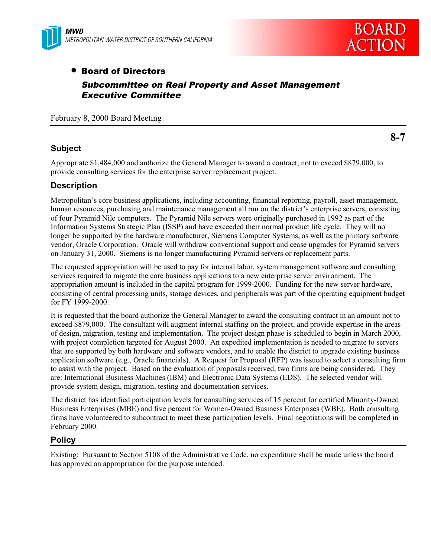



# • Board of Directors Subcommittee on Real Property and Asset Management Executive Committee

February 8, 2000 Board Meeting

## **Subject**

**8-7**

Appropriate \$1,484,000 and authorize the General Manager to award a contract, not to exceed \$879,000, to provide consulting services for the enterprise server replacement project.

## **Description**

Metropolitan's core business applications, including accounting, financial reporting, payroll, asset management, human resources, purchasing and maintenance management all run on the district's enterprise servers, consisting of four Pyramid Nile computers. The Pyramid Nile servers were originally purchased in 1992 as part of the Information Systems Strategic Plan (ISSP) and have exceeded their normal product life cycle. They will no longer be supported by the hardware manufacturer, Siemens Computer Systems, as well as the primary software vendor, Oracle Corporation. Oracle will withdraw conventional support and cease upgrades for Pyramid servers on January 31, 2000. Siemens is no longer manufacturing Pyramid servers or replacement parts.

The requested appropriation will be used to pay for internal labor, system management software and consulting services required to migrate the core business applications to a new enterprise server environment. The appropriation amount is included in the capital program for 1999-2000. Funding for the new server hardware, consisting of central processing units, storage devices, and peripherals was part of the operating equipment budget for FY 1999-2000.

It is requested that the board authorize the General Manager to award the consulting contract in an amount not to exceed \$879,000. The consultant will augment internal staffing on the project, and provide expertise in the areas of design, migration, testing and implementation. The project design phase is scheduled to begin in March 2000, with project completion targeted for August 2000. An expedited implementation is needed to migrate to servers that are supported by both hardware and software vendors, and to enable the district to upgrade existing business application software (e.g., Oracle financials). A Request for Proposal (RFP) was issued to select a consulting firm to assist with the project. Based on the evaluation of proposals received, two firms are being considered. They are: International Business Machines (IBM) and Electronic Data Systems (EDS). The selected vendor will provide system design, migration, testing and documentation services.

The district has identified participation levels for consulting services of 15 percent for certified Minority-Owned Business Enterprises (MBE) and five percent for Women-Owned Business Enterprises (WBE). Both consulting firms have volunteered to subcontract to meet these participation levels. Final negotiations will be completed in February 2000.

## **Policy**

Existing: Pursuant to Section 5108 of the Administrative Code, no expenditure shall be made unless the board has approved an appropriation for the purpose intended.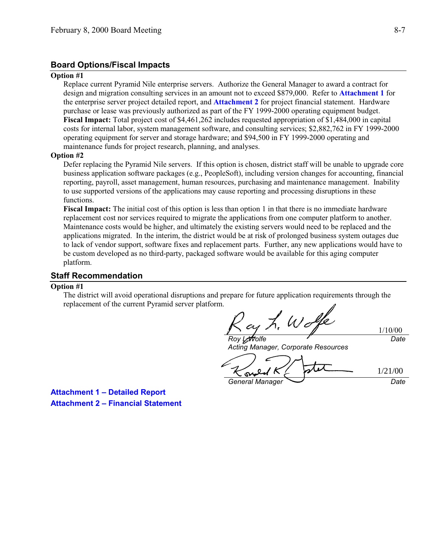## **Board Options/Fiscal Impacts**

#### **Option #1**

Replace current Pyramid Nile enterprise servers. Authorize the General Manager to award a contract for design and migration consulting services in an amount not to exceed \$879,000. Refer to **Attachment 1** for the enterprise server project detailed report, and **Attachment 2** for project financial statement. Hardware purchase or lease was previously authorized as part of the FY 1999-2000 operating equipment budget. **Fiscal Impact:** Total project cost of \$4,461,262 includes requested appropriation of \$1,484,000 in capital costs for internal labor, system management software, and consulting services; \$2,882,762 in FY 1999-2000 operating equipment for server and storage hardware; and \$94,500 in FY 1999-2000 operating and maintenance funds for project research, planning, and analyses.

#### **Option #2**

Defer replacing the Pyramid Nile servers. If this option is chosen, district staff will be unable to upgrade core business application software packages (e.g., PeopleSoft), including version changes for accounting, financial reporting, payroll, asset management, human resources, purchasing and maintenance management. Inability to use supported versions of the applications may cause reporting and processing disruptions in these functions.

**Fiscal Impact:** The initial cost of this option is less than option 1 in that there is no immediate hardware replacement cost nor services required to migrate the applications from one computer platform to another. Maintenance costs would be higher, and ultimately the existing servers would need to be replaced and the applications migrated. In the interim, the district would be at risk of prolonged business system outages due to lack of vendor support, software fixes and replacement parts. Further, any new applications would have to be custom developed as no third-party, packaged software would be available for this aging computer platform.

## **Staff Recommendation**

### **Option #1**

The district will avoid operational disruptions and prepare for future application requirements through the replacement of the current Pyramid server platform.

 $\n **W**$ 

 $L$ *Molfe* Acting Manager, Corporate Resources

1/21/00sy General Manager Date

1/10/00

**Date** 

**Attachment 1 – Detailed Report Attachment 2 – Financial Statement**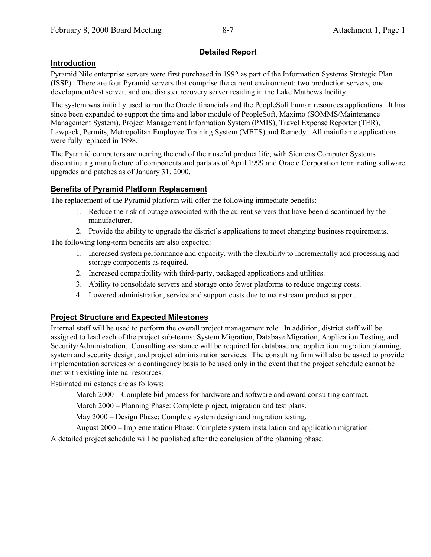## **Detailed Report**

## **Introduction**

Pyramid Nile enterprise servers were first purchased in 1992 as part of the Information Systems Strategic Plan (ISSP). There are four Pyramid servers that comprise the current environment: two production servers, one development/test server, and one disaster recovery server residing in the Lake Mathews facility.

The system was initially used to run the Oracle financials and the PeopleSoft human resources applications. It has since been expanded to support the time and labor module of PeopleSoft, Maximo (SOMMS/Maintenance Management System), Project Management Information System (PMIS), Travel Expense Reporter (TER), Lawpack, Permits, Metropolitan Employee Training System (METS) and Remedy. All mainframe applications were fully replaced in 1998.

The Pyramid computers are nearing the end of their useful product life, with Siemens Computer Systems discontinuing manufacture of components and parts as of April 1999 and Oracle Corporation terminating software upgrades and patches as of January 31, 2000.

## **Benefits of Pyramid Platform Replacement**

The replacement of the Pyramid platform will offer the following immediate benefits:

- 1. Reduce the risk of outage associated with the current servers that have been discontinued by the manufacturer.
- 2. Provide the ability to upgrade the district's applications to meet changing business requirements.

The following long-term benefits are also expected:

- 1. Increased system performance and capacity, with the flexibility to incrementally add processing and storage components as required.
- 2. Increased compatibility with third-party, packaged applications and utilities.
- 3. Ability to consolidate servers and storage onto fewer platforms to reduce ongoing costs.
- 4. Lowered administration, service and support costs due to mainstream product support.

## **Project Structure and Expected Milestones**

Internal staff will be used to perform the overall project management role. In addition, district staff will be assigned to lead each of the project sub-teams: System Migration, Database Migration, Application Testing, and Security/Administration. Consulting assistance will be required for database and application migration planning, system and security design, and project administration services. The consulting firm will also be asked to provide implementation services on a contingency basis to be used only in the event that the project schedule cannot be met with existing internal resources.

Estimated milestones are as follows:

March 2000 – Complete bid process for hardware and software and award consulting contract.

March 2000 – Planning Phase: Complete project, migration and test plans.

May 2000 – Design Phase: Complete system design and migration testing.

August 2000 – Implementation Phase: Complete system installation and application migration.

A detailed project schedule will be published after the conclusion of the planning phase.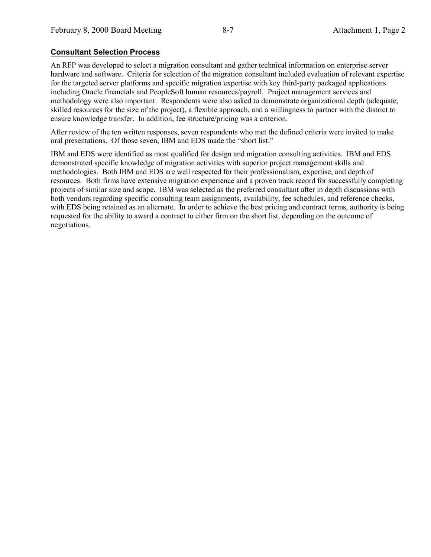## **Consultant Selection Process**

An RFP was developed to select a migration consultant and gather technical information on enterprise server hardware and software. Criteria for selection of the migration consultant included evaluation of relevant expertise for the targeted server platforms and specific migration expertise with key third-party packaged applications including Oracle financials and PeopleSoft human resources/payroll. Project management services and methodology were also important. Respondents were also asked to demonstrate organizational depth (adequate, skilled resources for the size of the project), a flexible approach, and a willingness to partner with the district to ensure knowledge transfer. In addition, fee structure/pricing was a criterion.

After review of the ten written responses, seven respondents who met the defined criteria were invited to make oral presentations. Of those seven, IBM and EDS made the "short list."

IBM and EDS were identified as most qualified for design and migration consulting activities. IBM and EDS demonstrated specific knowledge of migration activities with superior project management skills and methodologies. Both IBM and EDS are well respected for their professionalism, expertise, and depth of resources. Both firms have extensive migration experience and a proven track record for successfully completing projects of similar size and scope. IBM was selected as the preferred consultant after in depth discussions with both vendors regarding specific consulting team assignments, availability, fee schedules, and reference checks, with EDS being retained as an alternate. In order to achieve the best pricing and contract terms, authority is being requested for the ability to award a contract to either firm on the short list, depending on the outcome of negotiations.